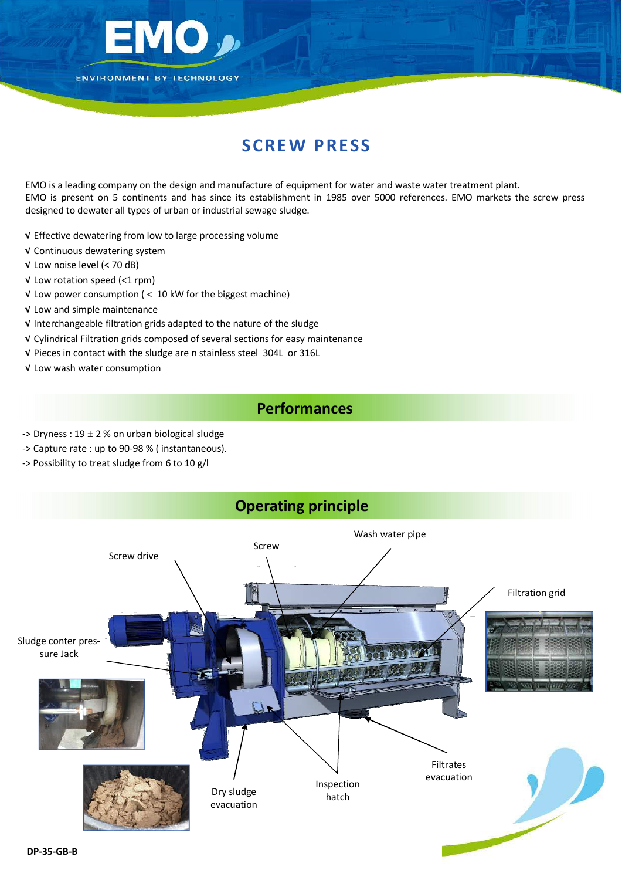

## **SCREW PRESS**

EMO is a leading company on the design and manufacture of equipment for water and waste water treatment plant. EMO is present on 5 continents and has since its establishment in 1985 over 5000 references. EMO markets the screw press designed to dewater all types of urban or industrial sewage sludge.

√ Effective dewatering from low to large processing volume

- √ Continuous dewatering system
- √ Low noise level (< 70 dB)
- √ Low rotation speed (<1 rpm)
- √ Low power consumption ( < 10 kW for the biggest machine)
- √ Low and simple maintenance
- √ Interchangeable filtration grids adapted to the nature of the sludge
- √ Cylindrical Filtration grids composed of several sections for easy maintenance
- √ Pieces in contact with the sludge are n stainless steel 304L or 316L
- √ Low wash water consumption

## **Performances**

- -> Dryness :  $19 \pm 2$  % on urban biological sludge
- ‐> Capture rate : up to 90‐98 % ( instantaneous).
- ‐> Possibility to treat sludge from 6 to 10 g/l